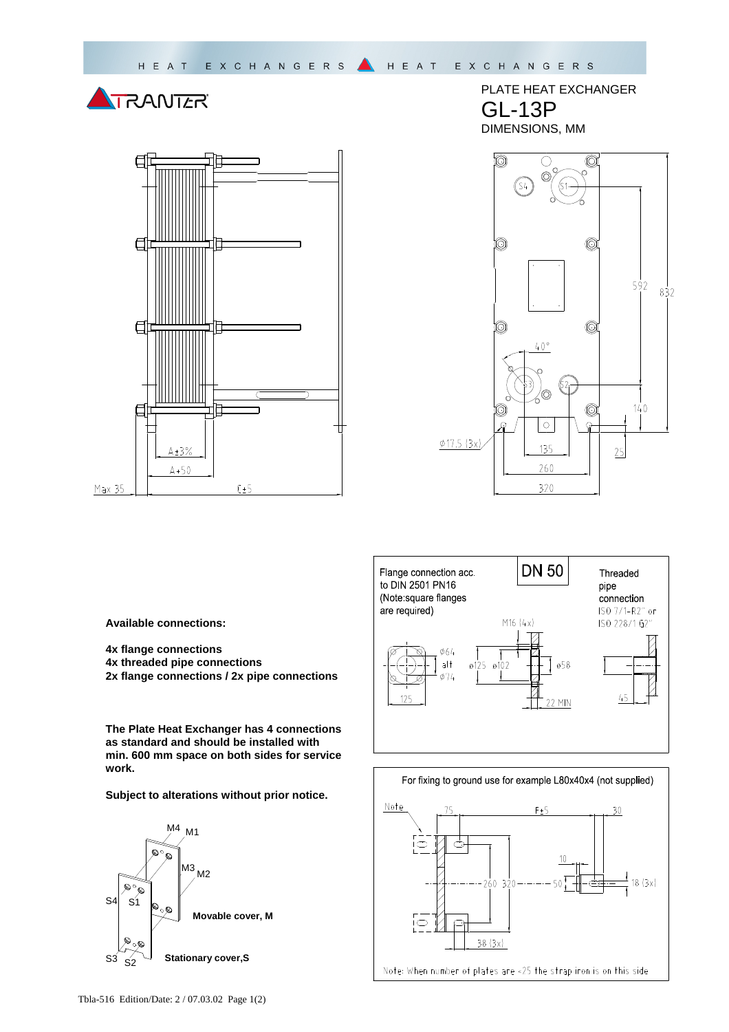



PLATE HEAT EXCHANGER GL-13P DIMENSIONS, MM





**Available connections:** 

**4x flange connections** 

- **4x threaded pipe connections**
- **2x flange connections / 2x pipe connections**

**The Plate Heat Exchanger has 4 connections as standard and should be installed with min. 600 mm space on both sides for service work.** 

**Subject to alterations without prior notice.**